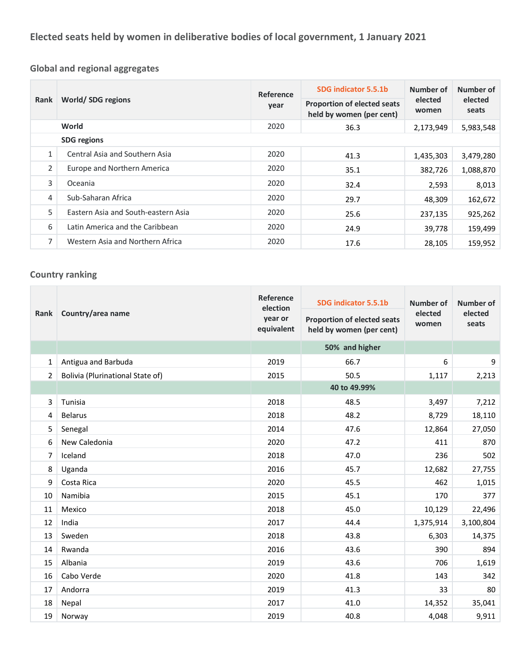**Global and regional aggregates**

| Rank               | World/SDG regions                   | Reference<br>year | SDG indicator 5.5.1b                                           | Number of<br>elected<br>women | Number of<br>elected<br>seats |
|--------------------|-------------------------------------|-------------------|----------------------------------------------------------------|-------------------------------|-------------------------------|
|                    |                                     |                   | <b>Proportion of elected seats</b><br>held by women (per cent) |                               |                               |
|                    | World                               | 2020              | 36.3                                                           | 2,173,949                     | 5,983,548                     |
| <b>SDG</b> regions |                                     |                   |                                                                |                               |                               |
| $\mathbf{1}$       | Central Asia and Southern Asia      | 2020              | 41.3                                                           | 1,435,303                     | 3,479,280                     |
| $\overline{2}$     | Europe and Northern America         | 2020              | 35.1                                                           | 382,726                       | 1,088,870                     |
| 3                  | Oceania                             | 2020              | 32.4                                                           | 2,593                         | 8,013                         |
| 4                  | Sub-Saharan Africa                  | 2020              | 29.7                                                           | 48,309                        | 162,672                       |
| 5                  | Eastern Asia and South-eastern Asia | 2020              | 25.6                                                           | 237,135                       | 925,262                       |
| 6                  | Latin America and the Caribbean     | 2020              | 24.9                                                           | 39,778                        | 159,499                       |
| $\overline{7}$     | Western Asia and Northern Africa    | 2020              | 17.6                                                           | 28,105                        | 159,952                       |

## **Country ranking**

| Rank           | Country/area name                       | Reference<br>election<br>year or<br>equivalent | SDG indicator 5.5.1b<br><b>Proportion of elected seats</b><br>held by women (per cent) | Number of<br>elected<br>women | Number of<br>elected<br>seats |
|----------------|-----------------------------------------|------------------------------------------------|----------------------------------------------------------------------------------------|-------------------------------|-------------------------------|
|                |                                         |                                                | 50% and higher                                                                         |                               |                               |
| $\mathbf{1}$   | Antigua and Barbuda                     | 2019                                           | 66.7                                                                                   | 6                             | 9                             |
| $\overline{2}$ | <b>Bolivia (Plurinational State of)</b> | 2015                                           | 50.5                                                                                   | 1,117                         | 2,213                         |
|                |                                         |                                                | 40 to 49.99%                                                                           |                               |                               |
| 3              | Tunisia                                 | 2018                                           | 48.5                                                                                   | 3,497                         | 7,212                         |
| 4              | <b>Belarus</b>                          | 2018                                           | 48.2                                                                                   | 8,729                         | 18,110                        |
| 5.             | Senegal                                 | 2014                                           | 47.6                                                                                   | 12,864                        | 27,050                        |
| 6              | New Caledonia                           | 2020                                           | 47.2                                                                                   | 411                           | 870                           |
| $\overline{7}$ | Iceland                                 | 2018                                           | 47.0                                                                                   | 236                           | 502                           |
| 8              | Uganda                                  | 2016                                           | 45.7                                                                                   | 12,682                        | 27,755                        |
| 9              | Costa Rica                              | 2020                                           | 45.5                                                                                   | 462                           | 1,015                         |
| 10             | Namibia                                 | 2015                                           | 45.1                                                                                   | 170                           | 377                           |
| 11             | Mexico                                  | 2018                                           | 45.0                                                                                   | 10,129                        | 22,496                        |
| 12             | India                                   | 2017                                           | 44.4                                                                                   | 1,375,914                     | 3,100,804                     |
| 13             | Sweden                                  | 2018                                           | 43.8                                                                                   | 6,303                         | 14,375                        |
| 14             | Rwanda                                  | 2016                                           | 43.6                                                                                   | 390                           | 894                           |
| 15             | Albania                                 | 2019                                           | 43.6                                                                                   | 706                           | 1,619                         |
| 16             | Cabo Verde                              | 2020                                           | 41.8                                                                                   | 143                           | 342                           |
| 17             | Andorra                                 | 2019                                           | 41.3                                                                                   | 33                            | 80                            |
| 18             | Nepal                                   | 2017                                           | 41.0                                                                                   | 14,352                        | 35,041                        |
| 19             | Norway                                  | 2019                                           | 40.8                                                                                   | 4,048                         | 9,911                         |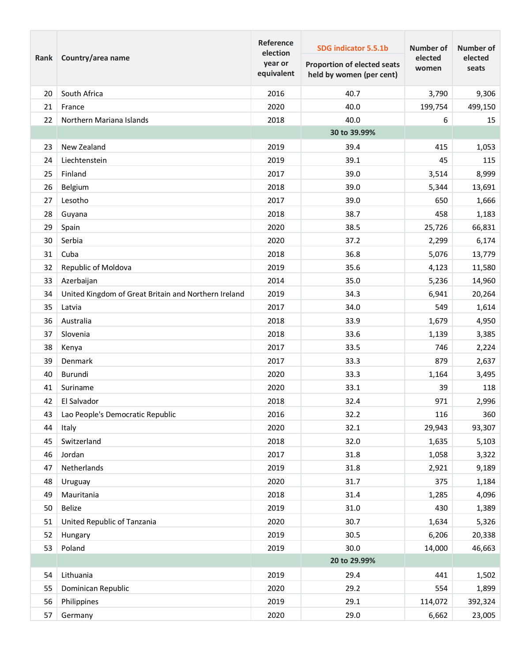| Rank | Country/area name                                    | Reference<br>election<br>year or<br>equivalent | SDG indicator 5.5.1b<br><b>Proportion of elected seats</b><br>held by women (per cent) | <b>Number of</b><br>elected<br>women | Number of<br>elected<br>seats |
|------|------------------------------------------------------|------------------------------------------------|----------------------------------------------------------------------------------------|--------------------------------------|-------------------------------|
| 20   | South Africa                                         | 2016                                           | 40.7                                                                                   | 3,790                                | 9,306                         |
| 21   | France                                               | 2020                                           | 40.0                                                                                   | 199,754                              | 499,150                       |
| 22   | Northern Mariana Islands                             | 2018                                           | 40.0                                                                                   | 6                                    | 15                            |
|      |                                                      |                                                | 30 to 39.99%                                                                           |                                      |                               |
| 23   | New Zealand                                          | 2019                                           | 39.4                                                                                   | 415                                  | 1,053                         |
| 24   | Liechtenstein                                        | 2019                                           | 39.1                                                                                   | 45                                   | 115                           |
| 25   | Finland                                              | 2017                                           | 39.0                                                                                   | 3,514                                | 8,999                         |
| 26   | Belgium                                              | 2018                                           | 39.0                                                                                   | 5,344                                | 13,691                        |
| 27   | Lesotho                                              | 2017                                           | 39.0                                                                                   | 650                                  | 1,666                         |
| 28   | Guyana                                               | 2018                                           | 38.7                                                                                   | 458                                  | 1,183                         |
| 29   | Spain                                                | 2020                                           | 38.5                                                                                   | 25,726                               | 66,831                        |
| 30   | Serbia                                               | 2020                                           | 37.2                                                                                   | 2,299                                | 6,174                         |
| 31   | Cuba                                                 | 2018                                           | 36.8                                                                                   | 5,076                                | 13,779                        |
| 32   | Republic of Moldova                                  | 2019                                           | 35.6                                                                                   | 4,123                                | 11,580                        |
| 33   | Azerbaijan                                           | 2014                                           | 35.0                                                                                   | 5,236                                | 14,960                        |
| 34   | United Kingdom of Great Britain and Northern Ireland | 2019                                           | 34.3                                                                                   | 6,941                                | 20,264                        |
| 35   | Latvia                                               | 2017                                           | 34.0                                                                                   | 549                                  | 1,614                         |
| 36   | Australia                                            | 2018                                           | 33.9                                                                                   | 1,679                                | 4,950                         |
| 37   | Slovenia                                             | 2018                                           | 33.6                                                                                   | 1,139                                | 3,385                         |
| 38   | Kenya                                                | 2017                                           | 33.5                                                                                   | 746                                  | 2,224                         |
| 39   | Denmark                                              | 2017                                           | 33.3                                                                                   | 879                                  | 2,637                         |
| 40   | Burundi                                              | 2020                                           | 33.3                                                                                   | 1,164                                | 3,495                         |
| 41   | Suriname                                             | 2020                                           | 33.1                                                                                   | 39                                   | 118                           |
| 42   | El Salvador                                          | 2018                                           | 32.4                                                                                   | 971                                  | 2,996                         |
| 43   | Lao People's Democratic Republic                     | 2016                                           | 32.2                                                                                   | 116                                  | 360                           |
| 44   | Italy                                                | 2020                                           | 32.1                                                                                   | 29,943                               | 93,307                        |
| 45   | Switzerland                                          | 2018                                           | 32.0                                                                                   | 1,635                                | 5,103                         |
| 46   | Jordan                                               | 2017                                           | 31.8                                                                                   | 1,058                                | 3,322                         |
| 47   | Netherlands                                          | 2019                                           | 31.8                                                                                   | 2,921                                | 9,189                         |
| 48   | Uruguay                                              | 2020                                           | 31.7                                                                                   | 375                                  | 1,184                         |
| 49   | Mauritania                                           | 2018                                           | 31.4                                                                                   | 1,285                                | 4,096                         |
| 50   | <b>Belize</b>                                        | 2019                                           | 31.0                                                                                   | 430                                  | 1,389                         |
| 51   | United Republic of Tanzania                          | 2020                                           | 30.7                                                                                   | 1,634                                | 5,326                         |
| 52   | Hungary                                              | 2019                                           | 30.5                                                                                   | 6,206                                | 20,338                        |
| 53   | Poland                                               | 2019                                           | 30.0                                                                                   | 14,000                               | 46,663                        |
|      |                                                      |                                                | 20 to 29.99%                                                                           |                                      |                               |
| 54   | Lithuania                                            | 2019                                           | 29.4                                                                                   | 441                                  | 1,502                         |
| 55   | Dominican Republic                                   | 2020                                           | 29.2                                                                                   | 554                                  | 1,899                         |
| 56   | Philippines                                          | 2019                                           | 29.1                                                                                   | 114,072                              | 392,324                       |
| 57   | Germany                                              | 2020                                           | 29.0                                                                                   | 6,662                                | 23,005                        |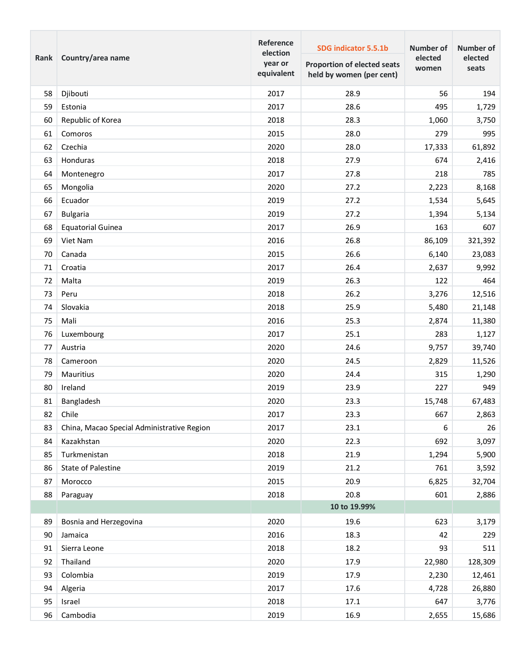| Rank | Country/area name                          | Reference<br>election<br>year or<br>equivalent | SDG indicator 5.5.1b<br>Proportion of elected seats<br>held by women (per cent) | <b>Number of</b><br>elected<br>women | <b>Number of</b><br>elected<br>seats |
|------|--------------------------------------------|------------------------------------------------|---------------------------------------------------------------------------------|--------------------------------------|--------------------------------------|
| 58   | Djibouti                                   | 2017                                           | 28.9                                                                            | 56                                   | 194                                  |
| 59   | Estonia                                    | 2017                                           | 28.6                                                                            | 495                                  | 1,729                                |
| 60   | Republic of Korea                          | 2018                                           | 28.3                                                                            | 1,060                                | 3,750                                |
| 61   | Comoros                                    | 2015                                           | 28.0                                                                            | 279                                  | 995                                  |
| 62   | Czechia                                    | 2020                                           | 28.0                                                                            | 17,333                               | 61,892                               |
| 63   | Honduras                                   | 2018                                           | 27.9                                                                            | 674                                  | 2,416                                |
| 64   | Montenegro                                 | 2017                                           | 27.8                                                                            | 218                                  | 785                                  |
| 65   | Mongolia                                   | 2020                                           | 27.2                                                                            | 2,223                                | 8,168                                |
| 66   | Ecuador                                    | 2019                                           | 27.2                                                                            | 1,534                                | 5,645                                |
| 67   | <b>Bulgaria</b>                            | 2019                                           | 27.2                                                                            | 1,394                                | 5,134                                |
| 68   | <b>Equatorial Guinea</b>                   | 2017                                           | 26.9                                                                            | 163                                  | 607                                  |
| 69   | Viet Nam                                   | 2016                                           | 26.8                                                                            | 86,109                               | 321,392                              |
| 70   | Canada                                     | 2015                                           | 26.6                                                                            | 6,140                                | 23,083                               |
| 71   | Croatia                                    | 2017                                           | 26.4                                                                            | 2,637                                | 9,992                                |
| 72   | Malta                                      | 2019                                           | 26.3                                                                            | 122                                  | 464                                  |
| 73   | Peru                                       | 2018                                           | 26.2                                                                            | 3,276                                | 12,516                               |
| 74   | Slovakia                                   | 2018                                           | 25.9                                                                            | 5,480                                | 21,148                               |
| 75   | Mali                                       | 2016                                           | 25.3                                                                            | 2,874                                | 11,380                               |
| 76   | Luxembourg                                 | 2017                                           | 25.1                                                                            | 283                                  | 1,127                                |
| 77   | Austria                                    | 2020                                           | 24.6                                                                            | 9,757                                | 39,740                               |
| 78   | Cameroon                                   | 2020                                           | 24.5                                                                            | 2,829                                | 11,526                               |
| 79   | Mauritius                                  | 2020                                           | 24.4                                                                            | 315                                  | 1,290                                |
| 80   | Ireland                                    | 2019                                           | 23.9                                                                            | 227                                  | 949                                  |
| 81   | Bangladesh                                 | 2020                                           | 23.3                                                                            | 15,748                               | 67,483                               |
| 82   | Chile                                      | 2017                                           | 23.3                                                                            | 667                                  | 2,863                                |
| 83   | China, Macao Special Administrative Region | 2017                                           | 23.1                                                                            | 6                                    | 26                                   |
| 84   | Kazakhstan                                 | 2020                                           | 22.3                                                                            | 692                                  | 3,097                                |
| 85   | Turkmenistan                               | 2018                                           | 21.9                                                                            | 1,294                                | 5,900                                |
| 86   | State of Palestine                         | 2019                                           | 21.2                                                                            | 761                                  | 3,592                                |
| 87   | Morocco                                    | 2015                                           | 20.9                                                                            | 6,825                                | 32,704                               |
| 88   | Paraguay                                   | 2018                                           | 20.8                                                                            | 601                                  | 2,886                                |
|      |                                            |                                                | 10 to 19.99%                                                                    |                                      |                                      |
| 89   | Bosnia and Herzegovina                     | 2020                                           | 19.6                                                                            | 623                                  | 3,179                                |
| 90   | Jamaica                                    | 2016                                           | 18.3                                                                            | 42                                   | 229                                  |
| 91   | Sierra Leone                               | 2018                                           | 18.2                                                                            | 93                                   | 511                                  |
| 92   | Thailand                                   | 2020                                           | 17.9                                                                            | 22,980                               | 128,309                              |
| 93   | Colombia                                   | 2019                                           | 17.9                                                                            | 2,230                                | 12,461                               |
| 94   | Algeria                                    | 2017                                           | 17.6                                                                            | 4,728                                | 26,880                               |
| 95   | Israel                                     | 2018                                           | 17.1                                                                            | 647                                  | 3,776                                |
| 96   | Cambodia                                   | 2019                                           | 16.9                                                                            | 2,655                                | 15,686                               |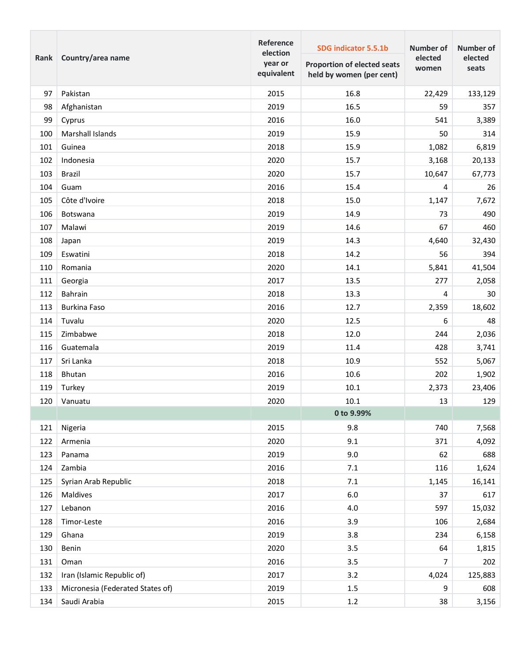| Rank | Country/area name                | Reference<br>election<br>year or<br>equivalent | SDG indicator 5.5.1b<br><b>Proportion of elected seats</b><br>held by women (per cent) | <b>Number of</b><br>elected<br>women | Number of<br>elected<br>seats |
|------|----------------------------------|------------------------------------------------|----------------------------------------------------------------------------------------|--------------------------------------|-------------------------------|
| 97   | Pakistan                         | 2015                                           | 16.8                                                                                   | 22,429                               | 133,129                       |
| 98   | Afghanistan                      | 2019                                           | 16.5                                                                                   | 59                                   | 357                           |
| 99   | Cyprus                           | 2016                                           | 16.0                                                                                   | 541                                  | 3,389                         |
| 100  | Marshall Islands                 | 2019                                           | 15.9                                                                                   | 50                                   | 314                           |
| 101  | Guinea                           | 2018                                           | 15.9                                                                                   | 1,082                                | 6,819                         |
| 102  | Indonesia                        | 2020                                           | 15.7                                                                                   | 3,168                                | 20,133                        |
| 103  | Brazil                           | 2020                                           | 15.7                                                                                   | 10,647                               | 67,773                        |
| 104  | Guam                             | 2016                                           | 15.4                                                                                   | 4                                    | 26                            |
| 105  | Côte d'Ivoire                    | 2018                                           | 15.0                                                                                   | 1,147                                | 7,672                         |
| 106  | Botswana                         | 2019                                           | 14.9                                                                                   | 73                                   | 490                           |
| 107  | Malawi                           | 2019                                           | 14.6                                                                                   | 67                                   | 460                           |
| 108  | Japan                            | 2019                                           | 14.3                                                                                   | 4,640                                | 32,430                        |
| 109  | Eswatini                         | 2018                                           | 14.2                                                                                   | 56                                   | 394                           |
| 110  | Romania                          | 2020                                           | 14.1                                                                                   | 5,841                                | 41,504                        |
| 111  | Georgia                          | 2017                                           | 13.5                                                                                   | 277                                  | 2,058                         |
| 112  | Bahrain                          | 2018                                           | 13.3                                                                                   | 4                                    | 30                            |
| 113  | <b>Burkina Faso</b>              | 2016                                           | 12.7                                                                                   | 2,359                                | 18,602                        |
| 114  | Tuvalu                           | 2020                                           | 12.5                                                                                   | 6                                    | 48                            |
| 115  | Zimbabwe                         | 2018                                           | 12.0                                                                                   | 244                                  | 2,036                         |
| 116  | Guatemala                        | 2019                                           | 11.4                                                                                   | 428                                  | 3,741                         |
| 117  | Sri Lanka                        | 2018                                           | 10.9                                                                                   | 552                                  | 5,067                         |
| 118  | <b>Bhutan</b>                    | 2016                                           | 10.6                                                                                   | 202                                  | 1,902                         |
| 119  | Turkey                           | 2019                                           | 10.1                                                                                   | 2,373                                | 23,406                        |
| 120  | Vanuatu                          | 2020                                           | 10.1                                                                                   | 13                                   | 129                           |
|      |                                  |                                                | 0 to 9.99%                                                                             |                                      |                               |
| 121  | Nigeria                          | 2015                                           | 9.8                                                                                    | 740                                  | 7,568                         |
| 122  | Armenia                          | 2020                                           | 9.1                                                                                    | 371                                  | 4,092                         |
| 123  | Panama                           | 2019                                           | 9.0                                                                                    | 62                                   | 688                           |
| 124  | Zambia                           | 2016                                           | 7.1                                                                                    | 116                                  | 1,624                         |
| 125  | Syrian Arab Republic             | 2018                                           | $7.1\,$                                                                                | 1,145                                | 16,141                        |
| 126  | Maldives                         | 2017                                           | $6.0\,$                                                                                | 37                                   | 617                           |
| 127  | Lebanon                          | 2016                                           | $4.0\,$                                                                                | 597                                  | 15,032                        |
| 128  | Timor-Leste                      | 2016                                           | 3.9                                                                                    | 106                                  | 2,684                         |
| 129  | Ghana                            | 2019                                           | 3.8                                                                                    | 234                                  | 6,158                         |
| 130  | Benin                            | 2020                                           | 3.5                                                                                    | 64                                   | 1,815                         |
| 131  | Oman                             | 2016                                           | 3.5                                                                                    | 7                                    | 202                           |
| 132  | Iran (Islamic Republic of)       | 2017                                           | 3.2                                                                                    | 4,024                                | 125,883                       |
| 133  | Micronesia (Federated States of) | 2019                                           | 1.5                                                                                    | 9                                    | 608                           |
| 134  | Saudi Arabia                     | 2015                                           | $1.2\,$                                                                                | 38                                   | 3,156                         |